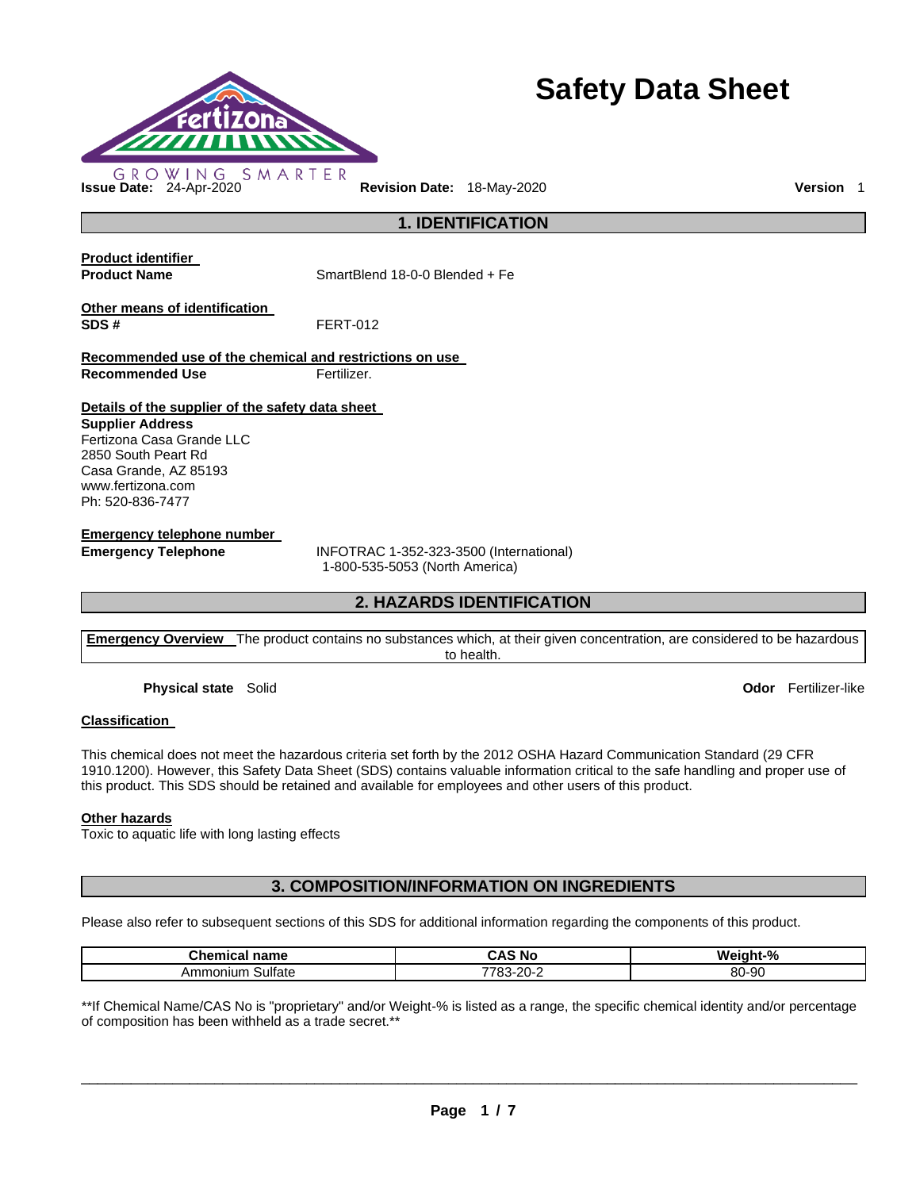

# **Safety Data Sheet**

**1. IDENTIFICATION** 

**Product identifier** 

**Product Name SmartBlend 18-0-0 Blended + Fe** 

**Other means of identification SDS #** FERT-012

**Recommended use of the chemical and restrictions on use Recommended Use Fertilizer.** 

**Details of the supplier of the safety data sheet** 

**Supplier Address** Fertizona Casa Grande LLC 2850 South Peart Rd Casa Grande, AZ 85193 www.fertizona.com Ph: 520-836-7477

**Emergency telephone number** 

**Emergency Telephone** INFOTRAC 1-352-323-3500 (International) 1-800-535-5053 (North America)

### **2. HAZARDS IDENTIFICATION**

**Emergency Overview** The product contains no substances which, at their given concentration, are considered to be hazardous to health.

**Physical state** Solid **Odor** Fertilizer-like

### **Classification**

This chemical does not meet the hazardous criteria set forth by the 2012 OSHA Hazard Communication Standard (29 CFR 1910.1200). However, this Safety Data Sheet (SDS) contains valuable information critical to the safe handling and proper use of this product. This SDS should be retained and available for employees and other users of this product.

### **Other hazards**

Toxic to aquatic life with long lasting effects

### **3. COMPOSITION/INFORMATION ON INGREDIENTS**

Please also refer to subsequent sections of this SDS for additional information regarding the components of this product.

| Chemic                               | - -                       | W٤      |
|--------------------------------------|---------------------------|---------|
| name                                 | CAS                       | $\sim$  |
| Ga I                                 | N0                        | `iαht-% |
| $\cdot$<br>Sulfate<br>.ionium<br>Amr | 7700<br>. იკ-20-2<br>20-Z | 80-90   |

\*\*If Chemical Name/CAS No is "proprietary" and/or Weight-% is listed as a range, the specific chemical identity and/or percentage of composition has been withheld as a trade secret.\*\*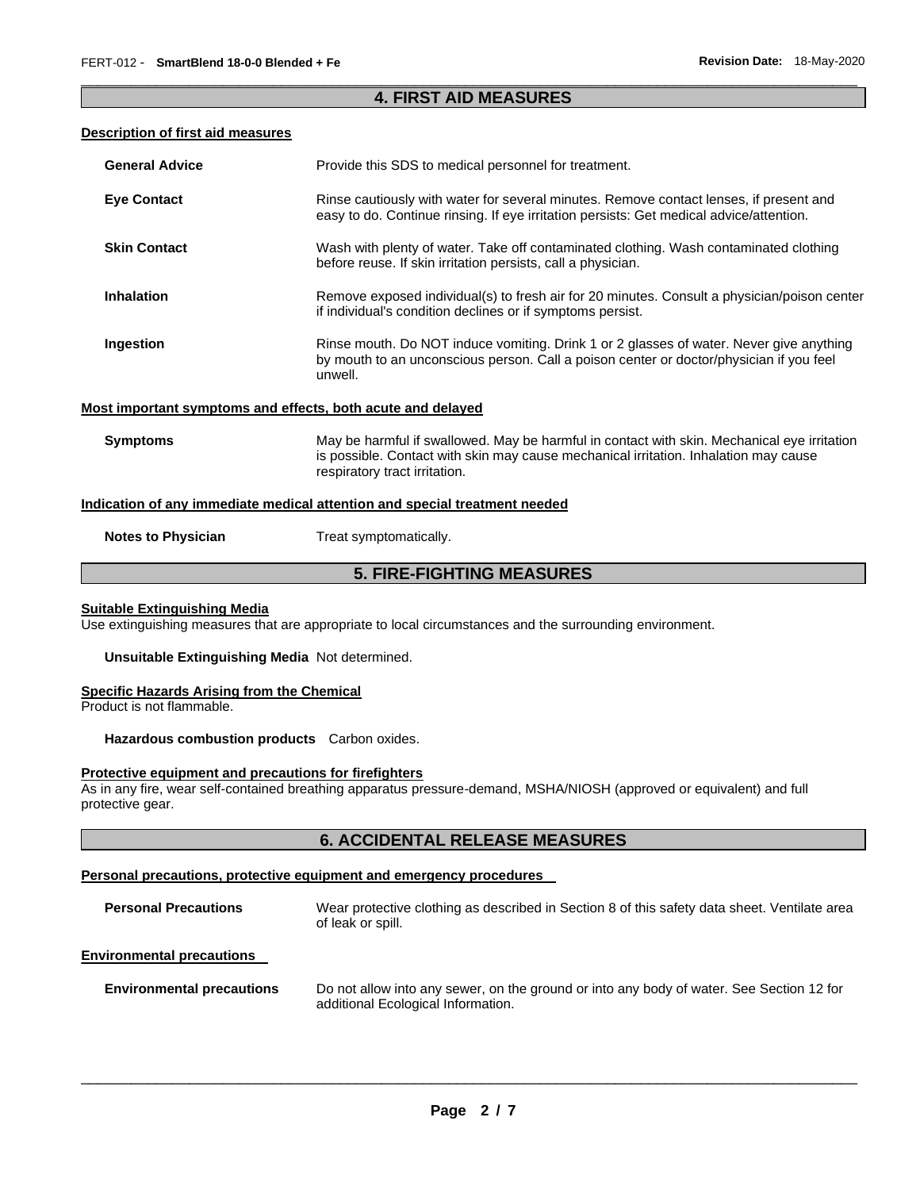### \_\_\_\_\_\_\_\_\_\_\_\_\_\_\_\_\_\_\_\_\_\_\_\_\_\_\_\_\_\_\_\_\_\_\_\_\_\_\_\_\_\_\_\_\_\_\_\_\_\_\_\_\_\_\_\_\_\_\_\_\_\_\_\_\_\_\_\_\_\_\_\_\_\_\_\_\_\_\_\_\_\_\_\_\_\_\_\_\_\_\_\_\_ **4. FIRST AID MEASURES**

### **Description of first aid measures**

| <b>General Advice</b> | Provide this SDS to medical personnel for treatment.                                                                                                                                                                 |
|-----------------------|----------------------------------------------------------------------------------------------------------------------------------------------------------------------------------------------------------------------|
| <b>Eye Contact</b>    | Rinse cautiously with water for several minutes. Remove contact lenses, if present and<br>easy to do. Continue rinsing. If eye irritation persists: Get medical advice/attention.                                    |
| <b>Skin Contact</b>   | Wash with plenty of water. Take off contaminated clothing. Wash contaminated clothing<br>before reuse. If skin irritation persists, call a physician.                                                                |
| <b>Inhalation</b>     | Remove exposed individual(s) to fresh air for 20 minutes. Consult a physician/poison center<br>if individual's condition declines or if symptoms persist.                                                            |
| Ingestion             | Rinse mouth. Do NOT induce vomiting. Drink 1 or 2 glasses of water. Never give anything<br>by mouth to an unconscious person. Call a poison center or doctor/physician if you feel<br>unwell.                        |
|                       | Most important symptoms and effects, both acute and delayed                                                                                                                                                          |
| <b>Symptoms</b>       | May be harmful if swallowed. May be harmful in contact with skin. Mechanical eye irritation<br>is possible. Contact with skin may cause mechanical irritation. Inhalation may cause<br>respiratory tract irritation. |
|                       | Indication of any immediate medical attention and special treatment needed                                                                                                                                           |

**Notes to Physician Treat symptomatically.** 

### **5. FIRE-FIGHTING MEASURES**

#### **Suitable Extinguishing Media**

Use extinguishing measures that are appropriate to local circumstances and the surrounding environment.

**Unsuitable Extinguishing Media** Not determined.

### **Specific Hazards Arising from the Chemical**

Product is not flammable.

**Hazardous combustion products** Carbon oxides.

### **Protective equipment and precautions for firefighters**

As in any fire, wear self-contained breathing apparatus pressure-demand, MSHA/NIOSH (approved or equivalent) and full protective gear.

### **6. ACCIDENTAL RELEASE MEASURES**

### **Personal precautions, protective equipment and emergency procedures**

| <b>Personal Precautions</b> | Wear protective clothing as described in Section 8 of this safety data sheet. Ventilate area<br>of leak or spill. |
|-----------------------------|-------------------------------------------------------------------------------------------------------------------|
|                             |                                                                                                                   |

### **Environmental precautions**

| <b>Environmental precautions</b> | Do not allow into any sewer, on the ground or into any body of water. See Section 12 for |
|----------------------------------|------------------------------------------------------------------------------------------|
|                                  | additional Ecological Information.                                                       |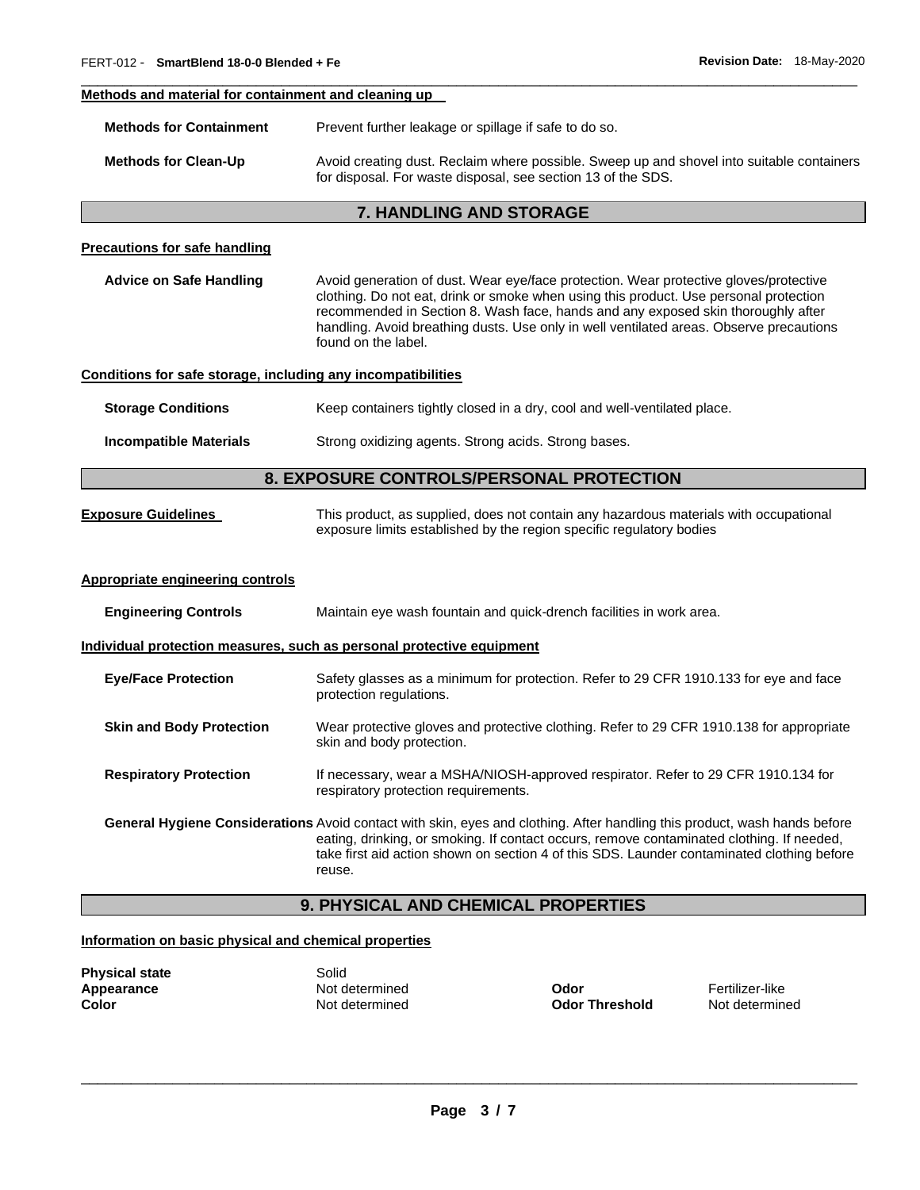### **Methods and material for containment and cleaning up**

**Methods for Clean-Up Avoid creating dust. Reclaim where possible. Sweep up and shovel into suitable containers** for disposal. For waste disposal, see section 13 of the SDS.

\_\_\_\_\_\_\_\_\_\_\_\_\_\_\_\_\_\_\_\_\_\_\_\_\_\_\_\_\_\_\_\_\_\_\_\_\_\_\_\_\_\_\_\_\_\_\_\_\_\_\_\_\_\_\_\_\_\_\_\_\_\_\_\_\_\_\_\_\_\_\_\_\_\_\_\_\_\_\_\_\_\_\_\_\_\_\_\_\_\_\_\_\_

### **7. HANDLING AND STORAGE**

#### **Precautions for safe handling**

**Advice on Safe Handling** Avoid generation of dust. Wear eye/face protection. Wear protective gloves/protective clothing. Do not eat, drink or smoke when using this product. Use personal protection recommended in Section 8. Wash face, hands and any exposed skin thoroughly after handling. Avoid breathing dusts. Use only in well ventilated areas. Observe precautions found on the label.

#### **Conditions for safe storage, including any incompatibilities**

**Storage Conditions Keep containers tightly closed in a dry, cool and well-ventilated place.** 

**Incompatible Materials Strong oxidizing agents. Strong acids. Strong bases.** 

### **8. EXPOSURE CONTROLS/PERSONAL PROTECTION**

**Exposure Guidelines** This product, as supplied, does not contain any hazardous materials with occupational exposure limits established by the region specific regulatory bodies

#### **Appropriate engineering controls**

| <b>Engineering Controls</b>     | Maintain eye wash fountain and quick-drench facilities in work area.                                                                                                                                                                                                                                                 |  |
|---------------------------------|----------------------------------------------------------------------------------------------------------------------------------------------------------------------------------------------------------------------------------------------------------------------------------------------------------------------|--|
|                                 | Individual protection measures, such as personal protective equipment                                                                                                                                                                                                                                                |  |
| <b>Eye/Face Protection</b>      | Safety glasses as a minimum for protection. Refer to 29 CFR 1910.133 for eye and face<br>protection regulations.                                                                                                                                                                                                     |  |
| <b>Skin and Body Protection</b> | Wear protective gloves and protective clothing. Refer to 29 CFR 1910.138 for appropriate<br>skin and body protection.                                                                                                                                                                                                |  |
| <b>Respiratory Protection</b>   | If necessary, wear a MSHA/NIOSH-approved respirator. Refer to 29 CFR 1910.134 for<br>respiratory protection requirements.                                                                                                                                                                                            |  |
|                                 | General Hygiene Considerations Avoid contact with skin, eyes and clothing. After handling this product, wash hands before<br>eating, drinking, or smoking. If contact occurs, remove contaminated clothing. If needed,<br>take first aid action shown on section 4 of this SDS. Launder contaminated clothing before |  |

### **9. PHYSICAL AND CHEMICAL PROPERTIES**

### **Information on basic physical and chemical properties**

| <b>Physical state</b> | Solid  |
|-----------------------|--------|
| Appearance            | Not de |
| Color                 | Not de |

**Appearance** Not determined **Odor** Fertilizer-like

reuse.

**Color** Not determined **Odor Threshold** Not determined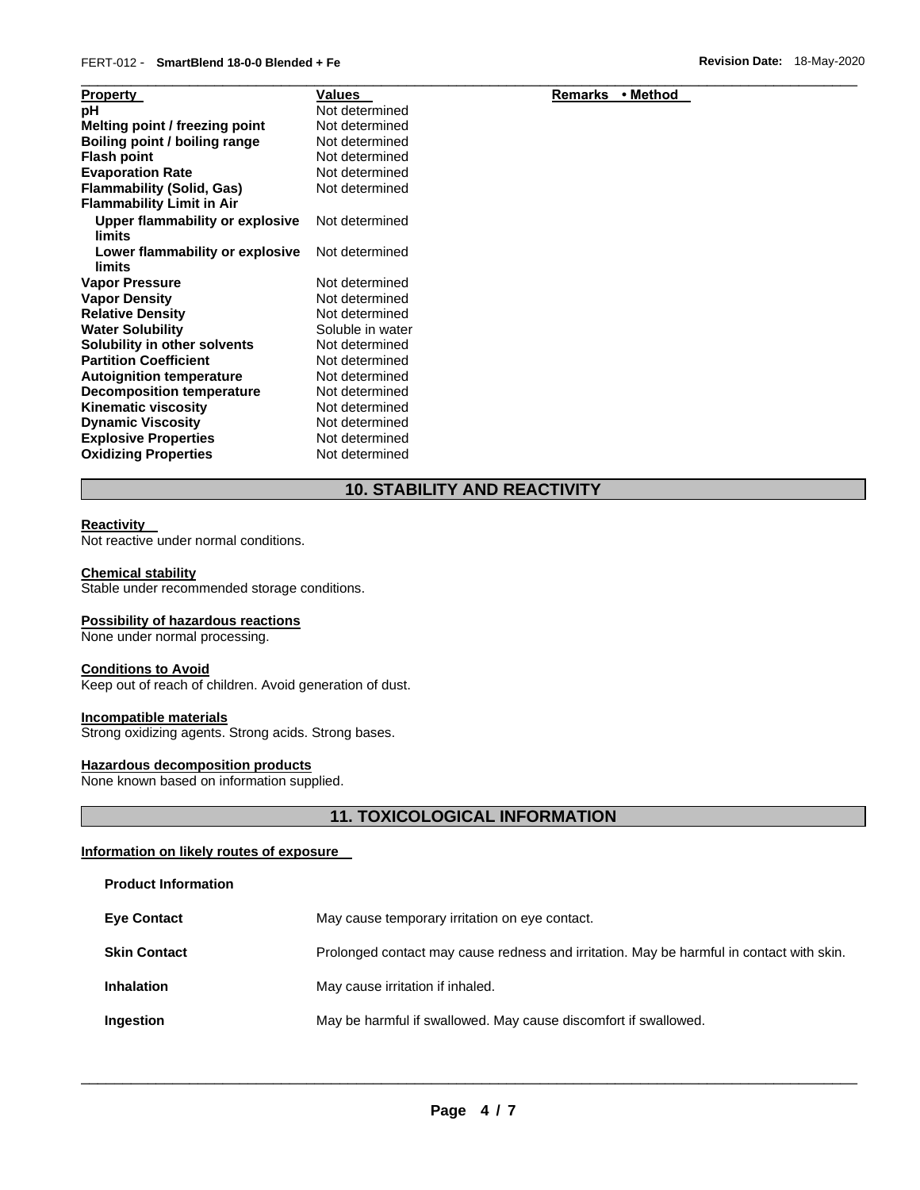### FERT-012 - **SmartBlend 18-0-0 Blended + Fe Revision Date:** 18-May-2020

| <b>Property</b>                           | Values           | Remarks<br>∙ Method |  |
|-------------------------------------------|------------------|---------------------|--|
| рH                                        | Not determined   |                     |  |
| Melting point / freezing point            | Not determined   |                     |  |
| Boiling point / boiling range             | Not determined   |                     |  |
| <b>Flash point</b>                        | Not determined   |                     |  |
| <b>Evaporation Rate</b>                   | Not determined   |                     |  |
| <b>Flammability (Solid, Gas)</b>          | Not determined   |                     |  |
| <b>Flammability Limit in Air</b>          |                  |                     |  |
| Upper flammability or explosive<br>limits | Not determined   |                     |  |
| Lower flammability or explosive<br>limits | Not determined   |                     |  |
| <b>Vapor Pressure</b>                     | Not determined   |                     |  |
| <b>Vapor Density</b>                      | Not determined   |                     |  |
| <b>Relative Density</b>                   | Not determined   |                     |  |
| <b>Water Solubility</b>                   | Soluble in water |                     |  |
| Solubility in other solvents              | Not determined   |                     |  |
| <b>Partition Coefficient</b>              | Not determined   |                     |  |
| <b>Autoignition temperature</b>           | Not determined   |                     |  |
| <b>Decomposition temperature</b>          | Not determined   |                     |  |
| <b>Kinematic viscosity</b>                | Not determined   |                     |  |
| <b>Dynamic Viscosity</b>                  | Not determined   |                     |  |
| <b>Explosive Properties</b>               | Not determined   |                     |  |
| <b>Oxidizing Properties</b>               | Not determined   |                     |  |

### **Remarks • Method**

## **10. STABILITY AND REACTIVITY**

#### **Reactivity**

Not reactive under normal conditions.

### **Chemical stability**

Stable under recommended storage conditions.

### **Possibility of hazardous reactions**

None under normal processing.

### **Conditions to Avoid**

Keep out of reach of children. Avoid generation of dust.

### **Incompatible materials**

Strong oxidizing agents. Strong acids. Strong bases.

### **Hazardous decomposition products**

None known based on information supplied.

### **11. TOXICOLOGICAL INFORMATION**

### **Information on likely routes of exposure**

**Product Information** 

| <b>Eye Contact</b>  | May cause temporary irritation on eye contact.                                           |
|---------------------|------------------------------------------------------------------------------------------|
| <b>Skin Contact</b> | Prolonged contact may cause redness and irritation. May be harmful in contact with skin. |
| <b>Inhalation</b>   | May cause irritation if inhaled.                                                         |
| Ingestion           | May be harmful if swallowed. May cause discomfort if swallowed.                          |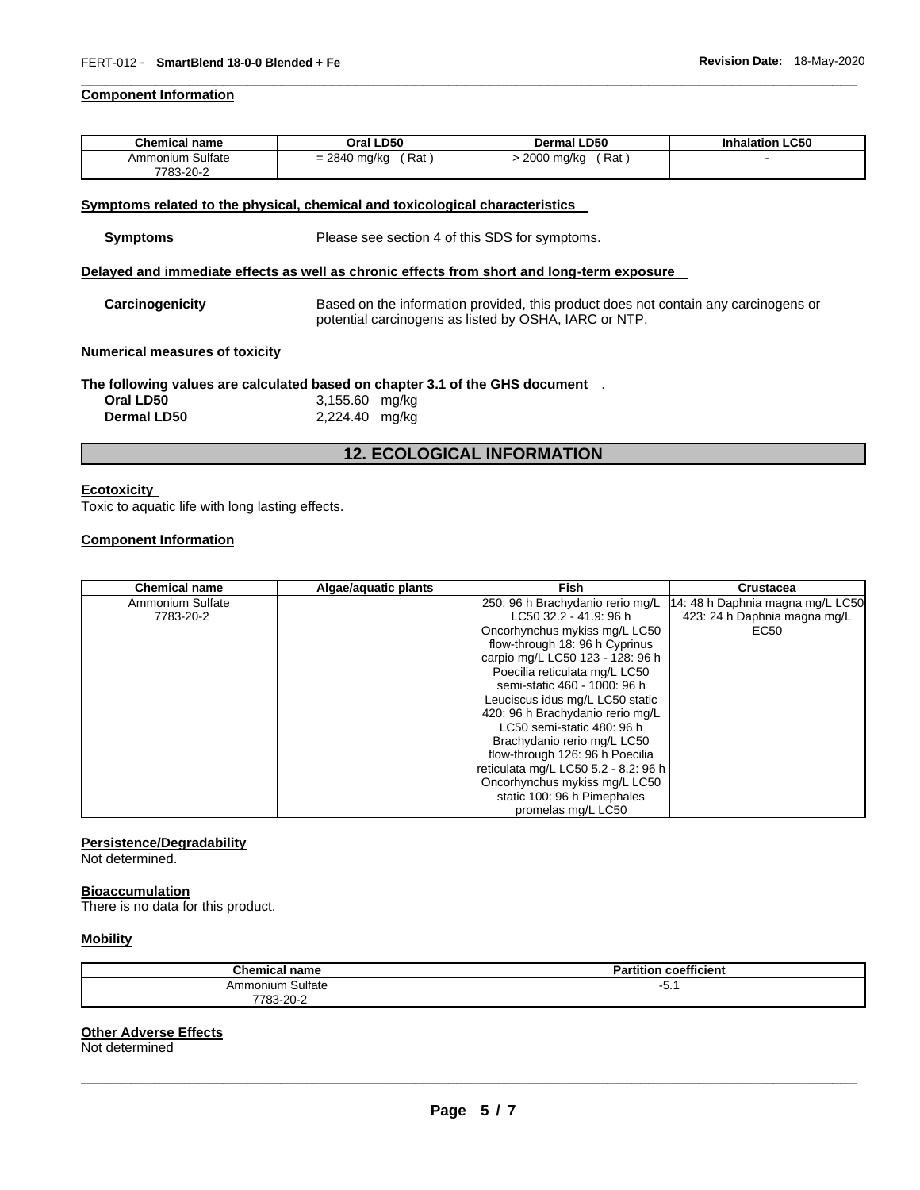### **Component Information**

| <b>Chemical name</b> | Oral LD50               | <b>Dermal LD50</b> | <b>Inhalation LC50</b> |
|----------------------|-------------------------|--------------------|------------------------|
| Ammonium Sulfate     | ์ Rat<br>$= 2840$ mg/kg | (Rat<br>2000 mg/kg |                        |
| 7783-20-2            |                         |                    |                        |

\_\_\_\_\_\_\_\_\_\_\_\_\_\_\_\_\_\_\_\_\_\_\_\_\_\_\_\_\_\_\_\_\_\_\_\_\_\_\_\_\_\_\_\_\_\_\_\_\_\_\_\_\_\_\_\_\_\_\_\_\_\_\_\_\_\_\_\_\_\_\_\_\_\_\_\_\_\_\_\_\_\_\_\_\_\_\_\_\_\_\_\_\_

#### **Symptoms related to the physical, chemical and toxicological characteristics**

### **Delayed and immediate effects as well as chronic effects from short and long-term exposure**

**Carcinogenicity** Based on the information provided, this product does not contain any carcinogens or potential carcinogens as listed by OSHA, IARC or NTP.

#### **Numerical measures of toxicity**

### **The following values are calculated based on chapter 3.1 of the GHS document** .

| Oral LD50          | 3,155.60 mg/kg |
|--------------------|----------------|
| <b>Dermal LD50</b> | 2,224.40 mg/kg |

### **12. ECOLOGICAL INFORMATION**

#### **Ecotoxicity**

Toxic to aquatic life with long lasting effects.

#### **Component Information**

| <b>Chemical name</b> | Algae/aguatic plants | <b>Fish</b>                          | <b>Crustacea</b>                 |
|----------------------|----------------------|--------------------------------------|----------------------------------|
| Ammonium Sulfate     |                      | 250: 96 h Brachydanio rerio mg/L     | 14: 48 h Daphnia magna mg/L LC50 |
| 7783-20-2            |                      | LC50 32.2 - 41.9: 96 h               | 423: 24 h Daphnia magna mg/L     |
|                      |                      | Oncorhynchus mykiss mg/L LC50        | EC50                             |
|                      |                      | flow-through 18: 96 h Cyprinus       |                                  |
|                      |                      | carpio mg/L LC50 123 - 128: 96 h     |                                  |
|                      |                      | Poecilia reticulata mg/L LC50        |                                  |
|                      |                      | semi-static 460 - 1000: 96 h         |                                  |
|                      |                      | Leuciscus idus mg/L LC50 static      |                                  |
|                      |                      | 420: 96 h Brachydanio rerio mg/L     |                                  |
|                      |                      | LC50 semi-static 480: 96 h           |                                  |
|                      |                      | Brachydanio rerio mg/L LC50          |                                  |
|                      |                      | flow-through 126: 96 h Poecilia      |                                  |
|                      |                      | reticulata mg/L LC50 5.2 - 8.2: 96 h |                                  |
|                      |                      | Oncorhynchus mykiss mg/L LC50        |                                  |
|                      |                      | static 100: 96 h Pimephales          |                                  |
|                      |                      | promelas mg/L LC50                   |                                  |

### **Persistence/Degradability**

Not determined.

#### **Bioaccumulation**

There is no data for this product.

### **Mobility**

| <b>Chemical name</b> | <b>Partition coefficient</b> |
|----------------------|------------------------------|
| Ammonium Sulfate     | -5. .                        |
| 7783-20-2            |                              |

### **Other Adverse Effects**

Not determined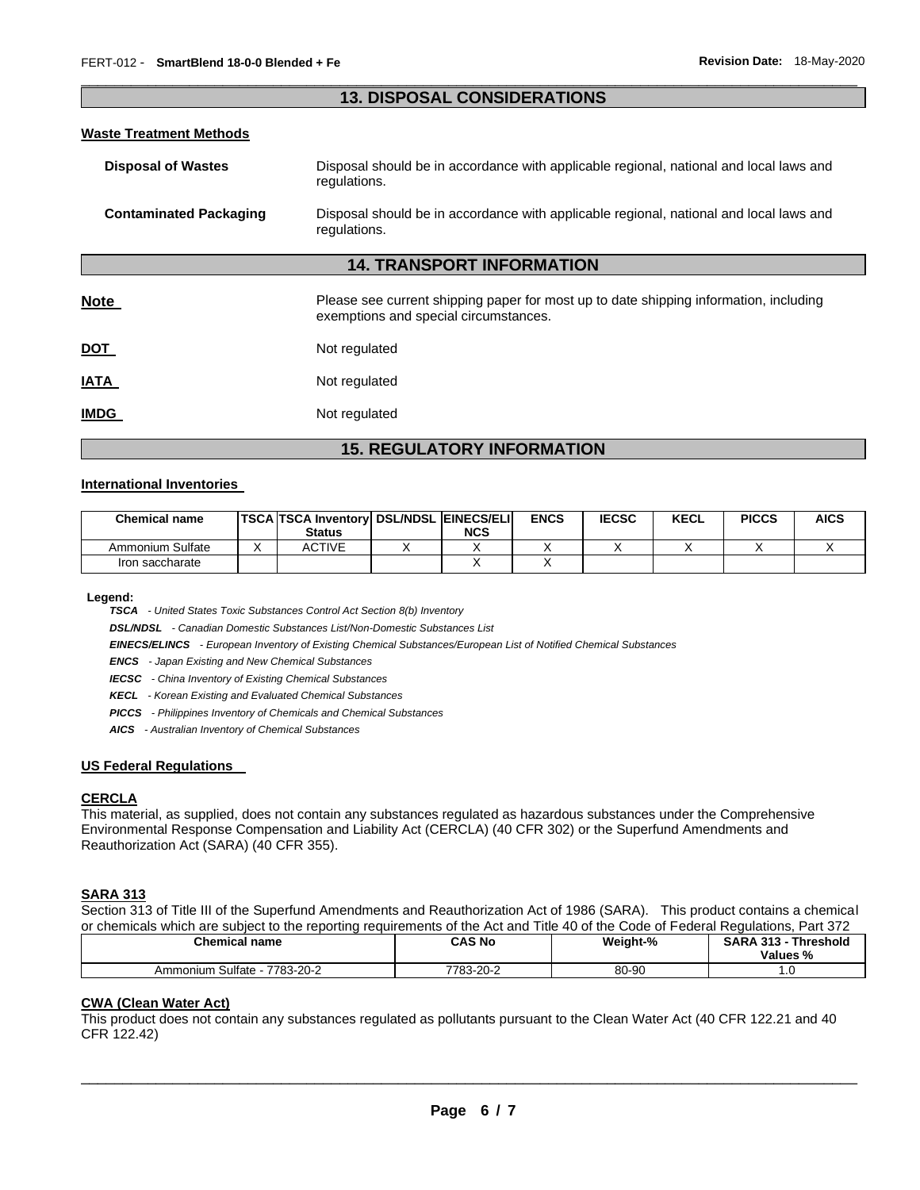### \_\_\_\_\_\_\_\_\_\_\_\_\_\_\_\_\_\_\_\_\_\_\_\_\_\_\_\_\_\_\_\_\_\_\_\_\_\_\_\_\_\_\_\_\_\_\_\_\_\_\_\_\_\_\_\_\_\_\_\_\_\_\_\_\_\_\_\_\_\_\_\_\_\_\_\_\_\_\_\_\_\_\_\_\_\_\_\_\_\_\_\_\_ **13. DISPOSAL CONSIDERATIONS**

#### **Waste Treatment Methods**

| <b>Disposal of Wastes</b>     | Disposal should be in accordance with applicable regional, national and local laws and<br>regulations.                         |  |  |
|-------------------------------|--------------------------------------------------------------------------------------------------------------------------------|--|--|
| <b>Contaminated Packaging</b> | Disposal should be in accordance with applicable regional, national and local laws and<br>regulations.                         |  |  |
|                               | <b>14. TRANSPORT INFORMATION</b>                                                                                               |  |  |
| <b>Note</b>                   | Please see current shipping paper for most up to date shipping information, including<br>exemptions and special circumstances. |  |  |
| DOT                           | Not regulated                                                                                                                  |  |  |
| IATA                          | Not regulated                                                                                                                  |  |  |
| <b>IMDG</b>                   | Not regulated                                                                                                                  |  |  |

### **15. REGULATORY INFORMATION**

### **International Inventories**

| <b>Chemical name</b> | TSCA TSCA Inventory  DSL/NDSL EINECS/ELI <br><b>Status</b> | <b>NCS</b> | <b>ENCS</b> | <b>IECSC</b> | <b>KECL</b> | <b>PICCS</b> | <b>AICS</b> |
|----------------------|------------------------------------------------------------|------------|-------------|--------------|-------------|--------------|-------------|
| Ammonium Sulfate     | ACTIVE                                                     |            |             |              |             |              |             |
| Iron saccharate      |                                                            |            |             |              |             |              |             |

**Legend:** 

*TSCA - United States Toxic Substances Control Act Section 8(b) Inventory* 

*DSL/NDSL - Canadian Domestic Substances List/Non-Domestic Substances List* 

*EINECS/ELINCS - European Inventory of Existing Chemical Substances/European List of Notified Chemical Substances* 

*ENCS - Japan Existing and New Chemical Substances* 

*IECSC - China Inventory of Existing Chemical Substances* 

*KECL - Korean Existing and Evaluated Chemical Substances* 

*PICCS - Philippines Inventory of Chemicals and Chemical Substances* 

*AICS - Australian Inventory of Chemical Substances* 

### **US Federal Regulations**

#### **CERCLA**

This material, as supplied, does not contain any substances regulated as hazardous substances under the Comprehensive Environmental Response Compensation and Liability Act (CERCLA) (40 CFR 302) or the Superfund Amendments and Reauthorization Act (SARA) (40 CFR 355).

### **SARA 313**

Section 313 of Title III of the Superfund Amendments and Reauthorization Act of 1986 (SARA). This product contains a chemical or chemicals which are subject to the reporting requirements of the Act and Title 40 of the Code of Federal Regulations, Part 372

| <b>Chemical name</b>          | CAS No    | Weight-% | Threshold<br><b>SARA 313 -</b><br>Values % |
|-------------------------------|-----------|----------|--------------------------------------------|
| Ammonium Sulfate<br>7783-20-2 | 7783-20-2 | 80-90    | $\cdot \cdot$                              |

### **CWA (Clean Water Act)**

This product does not contain any substances regulated as pollutants pursuant to the Clean Water Act (40 CFR 122.21 and 40 CFR 122.42)